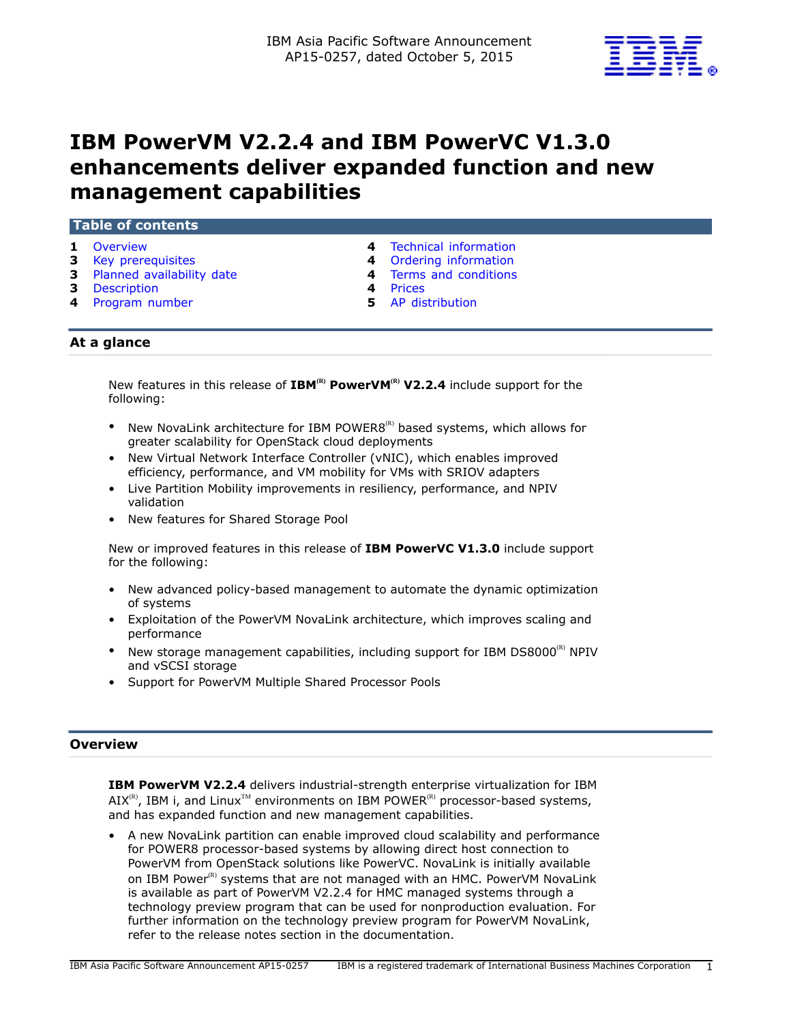

# **IBM PowerVM V2.2.4 and IBM PowerVC V1.3.0 enhancements deliver expanded function and new management capabilities**

## **Table of contents**

- 
- 
- **3** [Planned availability date](#page-2-1) **4** [Terms and conditions](#page-3-2)
- **3** [Description](#page-2-2) **4** [Prices](#page-3-3)
- **4** [Program number](#page-3-4) **5** [AP distribution](#page-4-0)
- **1** [Overview](#page-0-0) **4** [Technical information](#page-3-0)
- **3** [Key prerequisites](#page-2-0) **4** [Ordering information](#page-3-1)
	-
	-
	-

# **At a glance**

New features in this release of IBM<sup>(R)</sup> PowerVM<sup>(R)</sup> V2.2.4 include support for the following:

- New NovaLink architecture for IBM POWER8<sup>(R)</sup> based systems, which allows for greater scalability for OpenStack cloud deployments
- New Virtual Network Interface Controller (vNIC), which enables improved efficiency, performance, and VM mobility for VMs with SRIOV adapters
- Live Partition Mobility improvements in resiliency, performance, and NPIV validation
- New features for Shared Storage Pool

New or improved features in this release of **IBM PowerVC V1.3.0** include support for the following:

- New advanced policy-based management to automate the dynamic optimization of systems
- Exploitation of the PowerVM NovaLink architecture, which improves scaling and performance
- New storage management capabilities, including support for IBM DS8000 $^{(R)}$  NPIV and vSCSI storage
- Support for PowerVM Multiple Shared Processor Pools

# <span id="page-0-0"></span>**Overview**

**IBM PowerVM V2.2.4** delivers industrial-strength enterprise virtualization for IBM  $AIX^{(R)}$ , IBM i, and Linux<sup>TM</sup> environments on IBM POWER<sup>(R)</sup> processor-based systems, and has expanded function and new management capabilities.

• A new NovaLink partition can enable improved cloud scalability and performance for POWER8 processor-based systems by allowing direct host connection to PowerVM from OpenStack solutions like PowerVC. NovaLink is initially available on IBM Power<sup>(R)</sup> systems that are not managed with an HMC. PowerVM NovaLink is available as part of PowerVM V2.2.4 for HMC managed systems through a technology preview program that can be used for nonproduction evaluation. For further information on the technology preview program for PowerVM NovaLink, refer to the release notes section in the documentation.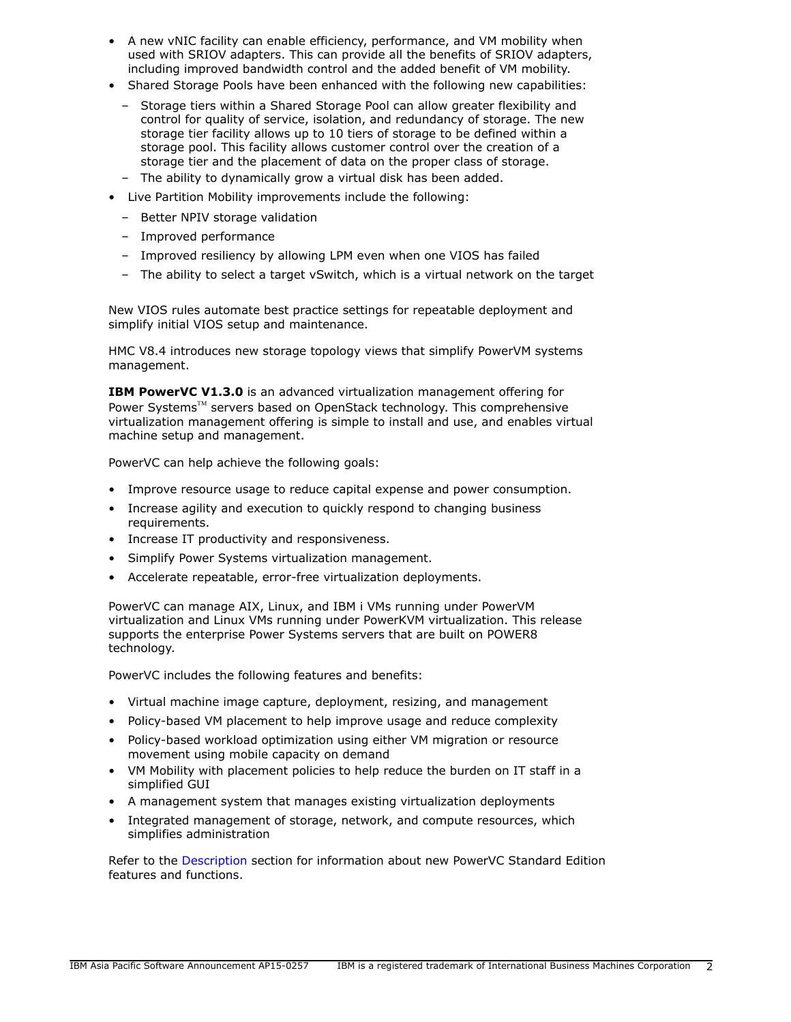- A new vNIC facility can enable efficiency, performance, and VM mobility when used with SRIOV adapters. This can provide all the benefits of SRIOV adapters, including improved bandwidth control and the added benefit of VM mobility.
- Shared Storage Pools have been enhanced with the following new capabilities:
	- Storage tiers within a Shared Storage Pool can allow greater flexibility and control for quality of service, isolation, and redundancy of storage. The new storage tier facility allows up to 10 tiers of storage to be defined within a storage pool. This facility allows customer control over the creation of a storage tier and the placement of data on the proper class of storage.
	- The ability to dynamically grow a virtual disk has been added.
- Live Partition Mobility improvements include the following:
	- Better NPIV storage validation
	- Improved performance
	- Improved resiliency by allowing LPM even when one VIOS has failed
	- The ability to select a target vSwitch, which is a virtual network on the target

New VIOS rules automate best practice settings for repeatable deployment and simplify initial VIOS setup and maintenance.

HMC V8.4 introduces new storage topology views that simplify PowerVM systems management.

**IBM PowerVC V1.3.0** is an advanced virtualization management offering for Power Systems™ servers based on OpenStack technology. This comprehensive virtualization management offering is simple to install and use, and enables virtual machine setup and management.

PowerVC can help achieve the following goals:

- Improve resource usage to reduce capital expense and power consumption.
- Increase agility and execution to quickly respond to changing business requirements.
- Increase IT productivity and responsiveness.
- Simplify Power Systems virtualization management.
- Accelerate repeatable, error-free virtualization deployments.

PowerVC can manage AIX, Linux, and IBM i VMs running under PowerVM virtualization and Linux VMs running under PowerKVM virtualization. This release supports the enterprise Power Systems servers that are built on POWER8 technology.

PowerVC includes the following features and benefits:

- Virtual machine image capture, deployment, resizing, and management
- Policy-based VM placement to help improve usage and reduce complexity
- Policy-based workload optimization using either VM migration or resource movement using mobile capacity on demand
- VM Mobility with placement policies to help reduce the burden on IT staff in a simplified GUI
- A management system that manages existing virtualization deployments
- Integrated management of storage, network, and compute resources, which simplifies administration

Refer to the [Description](#page-2-2) section for information about new PowerVC Standard Edition features and functions.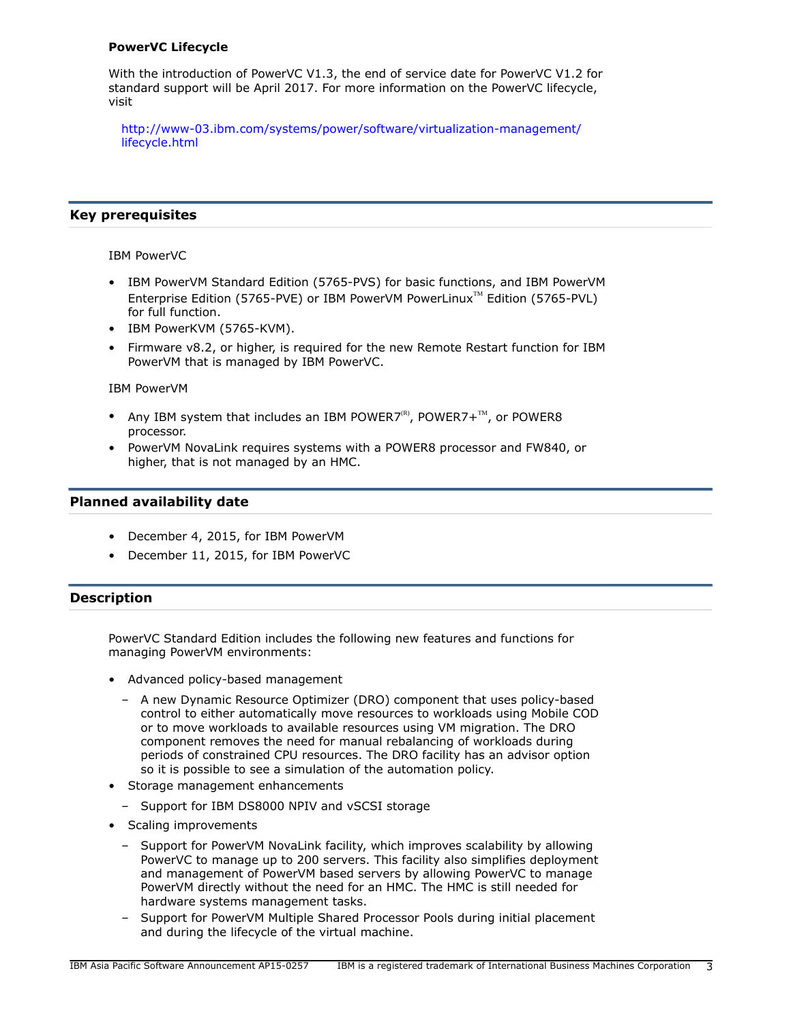## **PowerVC Lifecycle**

With the introduction of PowerVC V1.3, the end of service date for PowerVC V1.2 for standard support will be April 2017. For more information on the PowerVC lifecycle, visit

[http://www-03.ibm.com/systems/power/software/virtualization-management/](http://www-03.ibm.com/systems/power/software/virtualization-management/lifecycle.html) [lifecycle.html](http://www-03.ibm.com/systems/power/software/virtualization-management/lifecycle.html)

## <span id="page-2-0"></span>**Key prerequisites**

IBM PowerVC

- IBM PowerVM Standard Edition (5765-PVS) for basic functions, and IBM PowerVM Enterprise Edition (5765-PVE) or IBM PowerVM PowerLinux™ Edition (5765-PVL) for full function.
- IBM PowerKVM (5765-KVM).
- Firmware v8.2, or higher, is required for the new Remote Restart function for IBM PowerVM that is managed by IBM PowerVC.

IBM PowerVM

- Any IBM system that includes an IBM POWER7 $\mathbb{R}^n$ , POWER7+ $\mathbb{M}$ , or POWER8 processor.
- PowerVM NovaLink requires systems with a POWER8 processor and FW840, or higher, that is not managed by an HMC.

## <span id="page-2-1"></span>**Planned availability date**

- December 4, 2015, for IBM PowerVM
- December 11, 2015, for IBM PowerVC

# <span id="page-2-2"></span>**Description**

PowerVC Standard Edition includes the following new features and functions for managing PowerVM environments:

- Advanced policy-based management
	- A new Dynamic Resource Optimizer (DRO) component that uses policy-based control to either automatically move resources to workloads using Mobile COD or to move workloads to available resources using VM migration. The DRO component removes the need for manual rebalancing of workloads during periods of constrained CPU resources. The DRO facility has an advisor option so it is possible to see a simulation of the automation policy.
- Storage management enhancements
	- Support for IBM DS8000 NPIV and vSCSI storage
- Scaling improvements
	- Support for PowerVM NovaLink facility, which improves scalability by allowing PowerVC to manage up to 200 servers. This facility also simplifies deployment and management of PowerVM based servers by allowing PowerVC to manage PowerVM directly without the need for an HMC. The HMC is still needed for hardware systems management tasks.
	- Support for PowerVM Multiple Shared Processor Pools during initial placement and during the lifecycle of the virtual machine.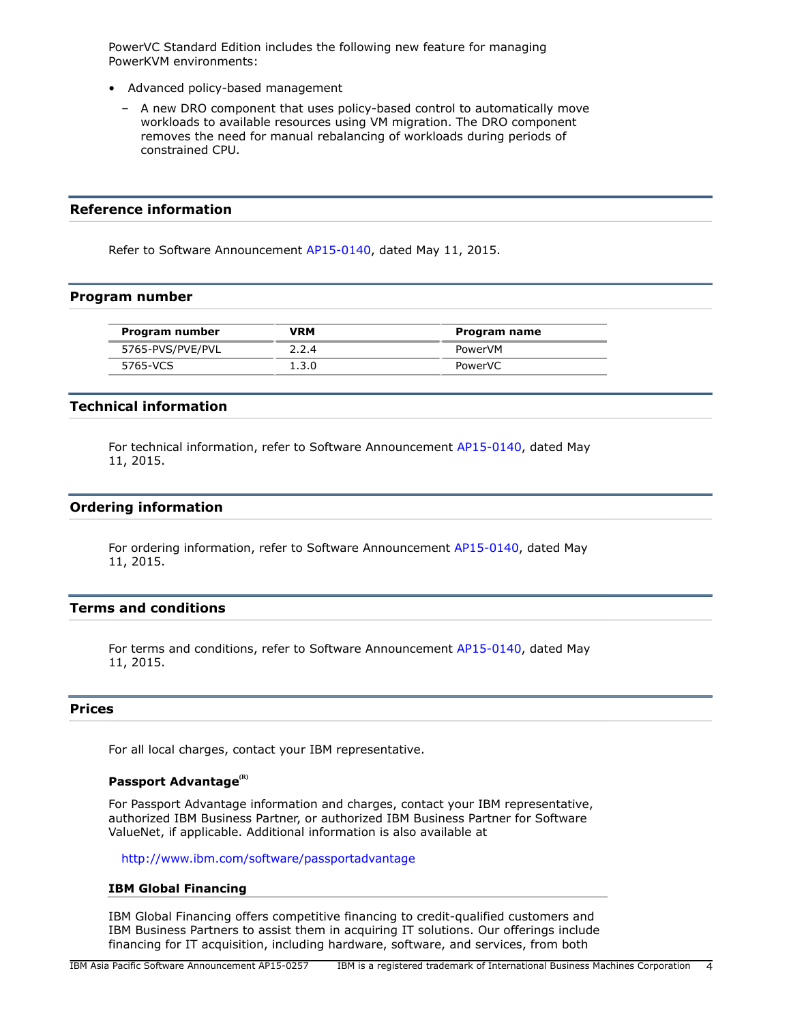PowerVC Standard Edition includes the following new feature for managing PowerKVM environments:

- Advanced policy-based management
	- A new DRO component that uses policy-based control to automatically move workloads to available resources using VM migration. The DRO component removes the need for manual rebalancing of workloads during periods of constrained CPU.

## **Reference information**

Refer to Software Announcement [AP15-0140](http://www.ibm.com/common/ssi/cgi-bin/ssialias?infotype=an&subtype=ca&appname=gpateam&supplier=872&letternum=ENUSAP15-0140), dated May 11, 2015.

#### <span id="page-3-4"></span>**Program number**

| Program number   | <b>VRM</b> | Program name |
|------------------|------------|--------------|
| 5765-PVS/PVE/PVL | 2.2.4      | PowerVM      |
| 5765-VCS         | 1.3.0      | PowerVC      |

# <span id="page-3-0"></span>**Technical information**

For technical information, refer to Software Announcement [AP15-0140,](http://www.ibm.com/common/ssi/cgi-bin/ssialias?infotype=an&subtype=ca&appname=gpateam&supplier=872&letternum=ENUSAP15-0140) dated May 11, 2015.

## <span id="page-3-1"></span>**Ordering information**

For ordering information, refer to Software Announcement [AP15-0140,](http://www.ibm.com/common/ssi/cgi-bin/ssialias?infotype=an&subtype=ca&appname=gpateam&supplier=872&letternum=ENUSAP15-0140) dated May 11, 2015.

#### <span id="page-3-2"></span>**Terms and conditions**

For terms and conditions, refer to Software Announcement [AP15-0140,](http://www.ibm.com/common/ssi/cgi-bin/ssialias?infotype=an&subtype=ca&appname=gpateam&supplier=872&letternum=ENUSAP15-0140) dated May 11, 2015.

# <span id="page-3-3"></span>**Prices**

For all local charges, contact your IBM representative.

## **Passport Advantage(R)**

For Passport Advantage information and charges, contact your IBM representative, authorized IBM Business Partner, or authorized IBM Business Partner for Software ValueNet, if applicable. Additional information is also available at

<http://www.ibm.com/software/passportadvantage>

#### **IBM Global Financing**

IBM Global Financing offers competitive financing to credit-qualified customers and IBM Business Partners to assist them in acquiring IT solutions. Our offerings include financing for IT acquisition, including hardware, software, and services, from both